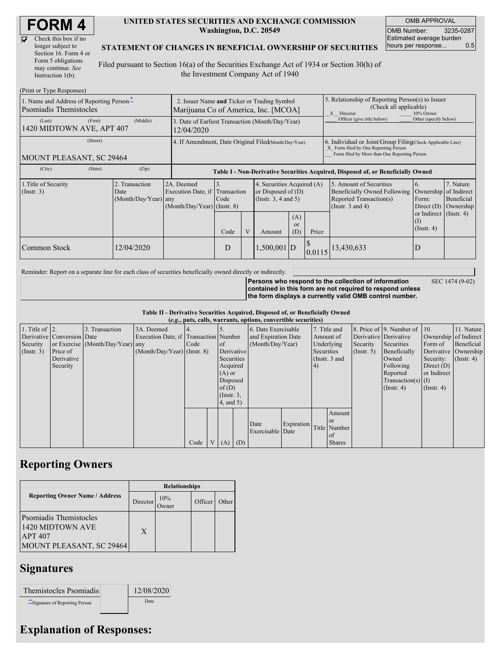| <b>FORM 4</b> |
|---------------|
|---------------|

| Check this box if no  |
|-----------------------|
| longer subject to     |
| Section 16. Form 4 or |
| Form 5 obligations    |
| may continue. See     |
| Instruction 1(b).     |

#### **UNITED STATES SECURITIES AND EXCHANGE COMMISSION Washington, D.C. 20549**

OMB APPROVAL OMB Number: 3235-0287 Estimated average burden hours per response... 0.5

### **STATEMENT OF CHANGES IN BENEFICIAL OWNERSHIP OF SECURITIES**

Filed pursuant to Section 16(a) of the Securities Exchange Act of 1934 or Section 30(h) of the Investment Company Act of 1940

| (Print or Type Responses)                                          |                                                                                     |                                                                               |            |   |                                                                            |                             |                                                                                                                                                    |                                                                                                             |                                                      |                                      |  |
|--------------------------------------------------------------------|-------------------------------------------------------------------------------------|-------------------------------------------------------------------------------|------------|---|----------------------------------------------------------------------------|-----------------------------|----------------------------------------------------------------------------------------------------------------------------------------------------|-------------------------------------------------------------------------------------------------------------|------------------------------------------------------|--------------------------------------|--|
| 1. Name and Address of Reporting Person-<br>Psomiadis Themistocles | 2. Issuer Name and Ticker or Trading Symbol<br>Marijuana Co of America, Inc. [MCOA] |                                                                               |            |   |                                                                            |                             | 5. Relationship of Reporting Person(s) to Issuer<br>(Check all applicable)<br>X Director<br>10% Owner                                              |                                                                                                             |                                                      |                                      |  |
| (First)<br>(Last)<br>1420 MIDTOWN AVE, APT 407                     | 3. Date of Earliest Transaction (Month/Day/Year)<br>12/04/2020                      |                                                                               |            |   |                                                                            |                             | Officer (give title below)                                                                                                                         | Other (specify below)                                                                                       |                                                      |                                      |  |
| (Street)<br>MOUNT PLEASANT, SC 29464                               | 4. If Amendment, Date Original Filed(Month/Day/Year)                                |                                                                               |            |   |                                                                            |                             | 6. Individual or Joint/Group Filing(Check Applicable Line)<br>X Form filed by One Reporting Person<br>Form filed by More than One Reporting Person |                                                                                                             |                                                      |                                      |  |
| (City)<br>(State)<br>(Zip)                                         |                                                                                     |                                                                               |            |   |                                                                            |                             | Table I - Non-Derivative Securities Acquired, Disposed of, or Beneficially Owned                                                                   |                                                                                                             |                                                      |                                      |  |
| 1. Title of Security<br>(Insert. 3)                                | 2. Transaction<br>Date<br>(Month/Day/Year) any                                      | 2A. Deemed<br>Execution Date, if Transaction<br>$(Month/Day/Year)$ (Instr. 8) | 3.<br>Code |   | 4. Securities Acquired (A)<br>or Disposed of $(D)$<br>(Insert. 3, 4 and 5) |                             |                                                                                                                                                    | 5. Amount of Securities<br>Beneficially Owned Following<br>Reported Transaction(s)<br>(Instr. $3$ and $4$ ) | 6.<br>Ownership of Indirect<br>Form:<br>Direct $(D)$ | 7. Nature<br>Beneficial<br>Ownership |  |
|                                                                    |                                                                                     |                                                                               | Code       | V | Amount                                                                     | (A)<br><sub>or</sub><br>(D) | Price                                                                                                                                              |                                                                                                             | or Indirect (Instr. 4)<br>(I)<br>$($ Instr. 4 $)$    |                                      |  |
| Common Stock                                                       | 12/04/2020                                                                          |                                                                               | D          |   | $1,500,001$ D                                                              |                             | 0.0115                                                                                                                                             | 13,430,633                                                                                                  | D                                                    |                                      |  |

Reminder: Report on a separate line for each class of securities beneficially owned directly or indirectly.

**Persons who respond to the collection of information contained in this form are not required to respond unless the form displays a currently valid OMB control number.**

SEC 1474 (9-02)

**Table II - Derivative Securities Acquired, Disposed of, or Beneficially Owned**

|                        | (e.g., puts, calls, warrants, options, convertible securities) |                                  |                                       |      |  |                 |            |                     |            |            |               |                       |                              |                       |                      |
|------------------------|----------------------------------------------------------------|----------------------------------|---------------------------------------|------|--|-----------------|------------|---------------------|------------|------------|---------------|-----------------------|------------------------------|-----------------------|----------------------|
| 1. Title of $\vert$ 2. |                                                                | 3. Transaction                   | 3A. Deemed                            |      |  |                 |            | 6. Date Exercisable |            |            | 7. Title and  |                       | 8. Price of 9. Number of 10. |                       | 11. Nature           |
|                        | Derivative Conversion Date                                     |                                  | Execution Date, if Transaction Number |      |  |                 |            | and Expiration Date |            |            | Amount of     | Derivative Derivative |                              | Ownership of Indirect |                      |
| Security               |                                                                | or Exercise (Month/Day/Year) any |                                       | Code |  | of              |            | (Month/Day/Year)    |            |            | Underlying    | Security              | Securities                   | Form of               | Beneficial           |
| $($ Instr. 3)          | Price of                                                       |                                  | $(Month/Day/Year)$ (Instr. 8)         |      |  |                 | Derivative |                     |            | Securities |               | $($ Instr. 5 $)$      | Beneficially                 |                       | Derivative Ownership |
|                        | Derivative                                                     |                                  |                                       |      |  | Securities      |            |                     |            |            | (Instr. 3 and |                       | Owned                        | Security:             | $($ Instr. 4)        |
|                        | Security                                                       |                                  |                                       |      |  | Acquired        |            |                     |            | (4)        |               |                       | Following                    | Direct $(D)$          |                      |
|                        |                                                                |                                  |                                       |      |  | $(A)$ or        |            |                     |            |            |               |                       | Reported                     | or Indirect           |                      |
|                        |                                                                |                                  |                                       |      |  | Disposed        |            |                     |            |            |               |                       | $Transaction(s)$ (I)         |                       |                      |
|                        |                                                                |                                  |                                       |      |  | of $(D)$        |            |                     |            |            |               |                       | $($ Instr. 4)                | $($ Instr. 4 $)$      |                      |
|                        |                                                                |                                  |                                       |      |  | $($ Instr. $3,$ |            |                     |            |            |               |                       |                              |                       |                      |
|                        |                                                                |                                  |                                       |      |  | $4$ , and $5$ ) |            |                     |            |            |               |                       |                              |                       |                      |
|                        |                                                                |                                  |                                       |      |  |                 |            |                     |            |            | Amount        |                       |                              |                       |                      |
|                        |                                                                |                                  |                                       |      |  |                 |            | Date                | Expiration |            | $\alpha$      |                       |                              |                       |                      |
|                        |                                                                |                                  |                                       |      |  |                 |            | Exercisable Date    |            |            | Title Number  |                       |                              |                       |                      |
|                        |                                                                |                                  |                                       |      |  |                 |            |                     |            |            | of            |                       |                              |                       |                      |
|                        |                                                                |                                  |                                       | Code |  | V(A)            | (D)        |                     |            |            | <b>Shares</b> |                       |                              |                       |                      |

## **Reporting Owners**

|                                                                                          | <b>Relationships</b> |              |         |       |  |  |  |  |
|------------------------------------------------------------------------------------------|----------------------|--------------|---------|-------|--|--|--|--|
| <b>Reporting Owner Name / Address</b>                                                    | Director             | 10%<br>)wner | Officer | Other |  |  |  |  |
| Psomiadis Themistocles<br>1420 MIDTOWN AVE<br><b>APT 407</b><br>MOUNT PLEASANT, SC 29464 | X                    |              |         |       |  |  |  |  |

## **Signatures**

| Themistocles Psomiadis        | 12/08/2020 |
|-------------------------------|------------|
| Signature of Reporting Person | Date       |

# **Explanation of Responses:**